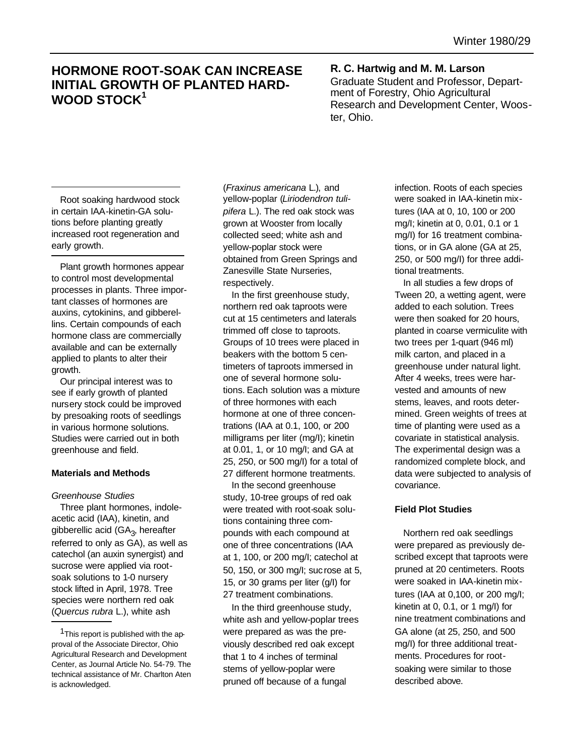# **HORMONE ROOT-SOAK CAN INCREASE INITIAL GROWTH OF PLANTED HARD-WOOD STOCK<sup>1</sup>**

# **R. C. Hartwig and M. M. Larson** Graduate Student and Professor, Department of Forestry, Ohio Agricultural Research and Development Center, Wooster, Ohio.

Root soaking hardwood stock in certain IAA-kinetin-GA solutions before planting greatly increased root regeneration and early growth.

Plant growth hormones appear to control most developmental processes in plants. Three important classes of hormones are auxins, cytokinins, and gibberellins. Certain compounds of each hormone class are commercially available and can be externally applied to plants to alter their growth.

Our principal interest was to see if early growth of planted nursery stock could be improved by presoaking roots of seedlings in various hormone solutions. Studies were carried out in both greenhouse and field.

# **Materials and Methods**

#### *Greenhouse Studies*

Three plant hormones, indoleacetic acid (IAA), kinetin, and gibberellic acid (GA<sub>3</sub>, hereafter referred to only as GA), as well as catechol (an auxin synergist) and sucrose were applied via rootsoak solutions to 1-0 nursery stock lifted in April, 1978. Tree species were northern red oak (*Quercus rubra* L.), white ash

(*Fraxinus americana* L.), and yellow-poplar (*Liriodendron tulipifera* L.). The red oak stock was grown at Wooster from locally collected seed; white ash and yellow-poplar stock were obtained from Green Springs and Zanesville State Nurseries, respectively.

In the first greenhouse study, northern red oak taproots were cut at 15 centimeters and laterals trimmed off close to taproots. Groups of 10 trees were placed in beakers with the bottom 5 centimeters of taproots immersed in one of several hormone solutions. Each solution was a mixture of three hormones with each hormone at one of three concentrations (IAA at 0.1, 100, or 200 milligrams per liter (mg/I); kinetin at 0.01, 1, or 10 mg/I; and GA at 25, 250, or 500 mg/I) for a total of 27 different hormone treatments.

In the second greenhouse study, 10-tree groups of red oak were treated with root-soak solutions containing three compounds with each compound at one of three concentrations (IAA at 1, 100, or 200 mg/I; catechol at 50, 150, or 300 mg/I; suc rose at 5, 15, or 30 grams per liter (g/I) for 27 treatment combinations.

In the third greenhouse study, white ash and yellow-poplar trees were prepared as was the previously described red oak except that 1 to 4 inches of terminal stems of yellow-poplar were pruned off because of a fungal

infection. Roots of each species were soaked in IAA-kinetin mixtures (IAA at 0, 10, 100 or 200 mg/I; kinetin at 0, 0.01, 0.1 or 1 mg/I) for 16 treatment combinations, or in GA alone (GA at 25, 250, or 500 mg/I) for three additional treatments.

In all studies a few drops of Tween 20, a wetting agent, were added to each solution. Trees were then soaked for 20 hours, planted in coarse vermiculite with two trees per 1-quart (946 ml) milk carton, and placed in a greenhouse under natural light. After 4 weeks, trees were harvested and amounts of new stems, leaves, and roots determined. Green weights of trees at time of planting were used as a covariate in statistical analysis. The experimental design was a randomized complete block, and data were subjected to analysis of covariance.

## **Field Plot Studies**

Northern red oak seedlings were prepared as previously described except that taproots were pruned at 20 centimeters. Roots were soaked in IAA-kinetin mixtures (IAA at 0,100, or 200 mg/I; kinetin at 0, 0.1, or 1 mg/I) for nine treatment combinations and GA alone (at 25, 250, and 500 mg/I) for three additional treatments. Procedures for rootsoaking were similar to those described above.

<sup>&</sup>lt;sup>1</sup>This report is published with the approval of the Associate Director, Ohio Agricultural Research and Development Center, as Journal Article No. 54-79. The technical assistance of Mr. Charlton Aten is acknowledged.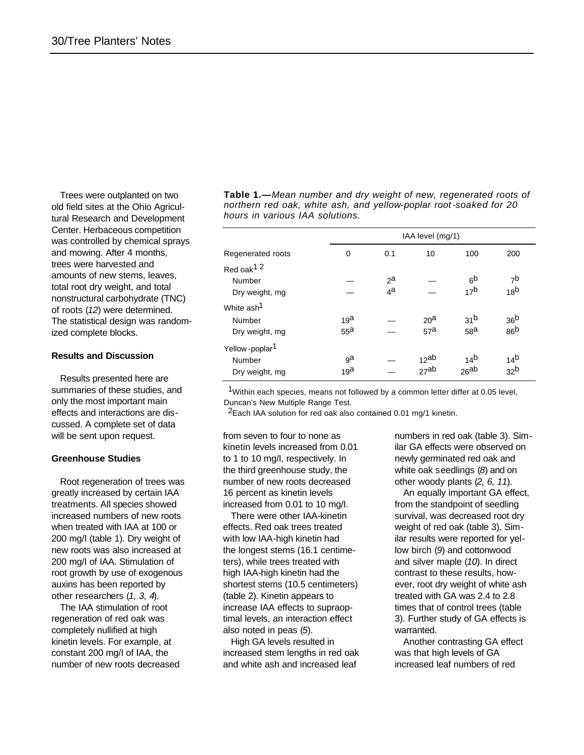Trees were outplanted on two old field sites at the Ohio Agricultural Research and Development Center. Herbaceous competition was controlled by chemical sprays and mowing. After 4 months, trees were harvested and amounts of new stems, leaves, total root dry weight, and total nonstructural carbohydrate (TNC) of roots (*12*) were determined. The statistical design was randomized complete blocks.

#### **Results and Discussion**

Results presented here are summaries of these studies, and only the most important main effects and interactions are discussed. A complete set of data will be sent upon request.

#### **Greenhouse Studies**

Root regeneration of trees was greatly increased by certain IAA treatments. All species showed increased numbers of new roots when treated with IAA at 100 or 200 mg/I (table 1). Dry weight of new roots was also increased at 200 mg/I of IAA. Stimulation of root growth by use of exogenous auxins has been reported by other researchers (*1, 3, 4*).

The IAA stimulation of root regeneration of red oak was completely nullified at high kinetin levels. For example, at constant 200 mg/I of IAA, the number of new roots decreased **Table 1.—***Mean number and dry weight of new, regenerated roots of northern red oak, white ash, and yellow-poplar root -soaked for 20 hours in various IAA solutions.*

|                            | IAA level (mg/1) |                |                 |                 |                 |
|----------------------------|------------------|----------------|-----------------|-----------------|-----------------|
| Regenerated roots          | 0                | 0.1            | 10              | 100             | 200             |
| Red oak <sup>12</sup>      |                  |                |                 |                 |                 |
| Number                     |                  | $2^a$          |                 | 6 <sup>b</sup>  | 7 <sup>b</sup>  |
| Dry weight, mg             |                  | 4 <sup>a</sup> |                 | 17 <sup>b</sup> | 18 <sup>b</sup> |
| White ash <sup>1</sup>     |                  |                |                 |                 |                 |
| Number                     | 19 <sup>a</sup>  |                | 20 <sup>a</sup> | 31 <sup>b</sup> | 36 <sup>b</sup> |
| Dry weight, mg             | 55 <sup>a</sup>  |                | 57 <sup>a</sup> | 58 <sup>a</sup> | 86 <sup>b</sup> |
| Yellow-poplar <sup>1</sup> |                  |                |                 |                 |                 |
| Number                     | яа               |                | $12^{ab}$       | 14 <sup>b</sup> | 14 <sup>b</sup> |
| Dry weight, mg             | 19 <sup>a</sup>  |                | 27ab            | $26^{ab}$       | 32 <sup>b</sup> |

<sup>1</sup>Within each species, means not followed by a common letter differ at 0.05 level, Duncan's New Multiple Range Test.

 $2$ Each IAA solution for red oak also contained 0.01 mg/1 kinetin.

from seven to four to none as kinetin levels increased from 0.01 to 1 to 10 mg/I, respectively. In the third greenhouse study, the number of new roots decreased 16 percent as kinetin levels increased from 0.01 to 10 mg/I.

There were other IAA-kinetin effects. Red oak trees treated with low IAA-high kinetin had the longest stems (16.1 centimeters), while trees treated with high IAA-high kinetin had the shortest stems (10.5 centimeters) (table 2). Kinetin appears to increase IAA effects to supraoptimal levels, an interaction effect also noted in peas (*5*).

High GA levels resulted in increased stem lengths in red oak and white ash and increased leaf

numbers in red oak (table 3). Similar GA effects were observed on newly germinated red oak and white oak seedlings (*8*) and on other woody plants (*2, 6, 11*).

An equally important GA effect, from the standpoint of seedling survival, was decreased root dry weight of red oak (table 3). Similar results were reported for yellow birch (*9*) and cottonwood and silver maple (*10*). In direct contrast to these results, however, root dry weight of white ash treated with GA was 2.4 to 2.8 times that of control trees (table 3). Further study of GA effects is warranted.

Another contrasting GA effect was that high levels of GA increased leaf numbers of red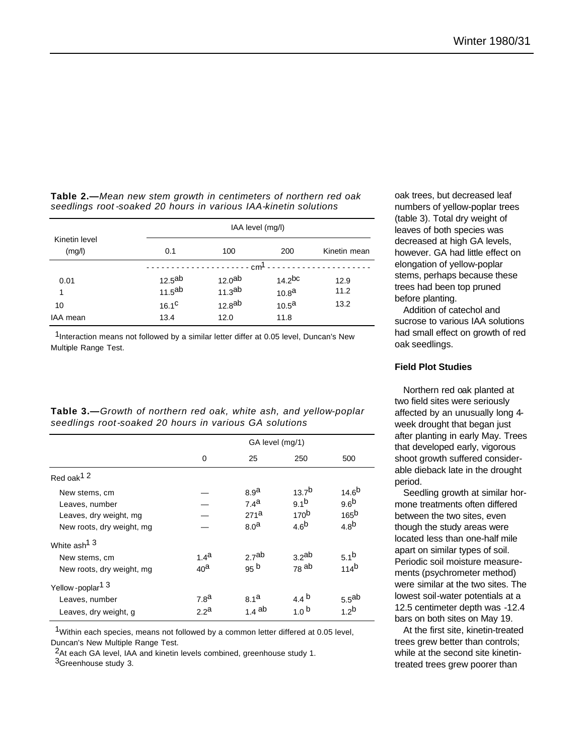**Table 2.—***Mean new stem growth in centimeters of northern red oak seedlings root -soaked 20 hours in various IAA-kinetin solutions*

|                         | IAA level (mg/l)   |                    |                    |              |  |  |
|-------------------------|--------------------|--------------------|--------------------|--------------|--|--|
| Kinetin level<br>(mg/l) | 0.1                | 100                | 200                | Kinetin mean |  |  |
|                         | $- cm1$            |                    |                    |              |  |  |
| 0.01                    | 12.5 <sup>ab</sup> | 12.0 <sup>ab</sup> | 14.2 <sup>bc</sup> | 12.9         |  |  |
| 1                       | 11.5 <sup>ab</sup> | 11.3 <sup>ab</sup> | 10.8 <sup>a</sup>  | 11.2         |  |  |
| 10                      | 16.1 <sup>C</sup>  | 12.8 <sup>ab</sup> | 10.5 <sup>a</sup>  | 13.2         |  |  |
| IAA mean                | 13.4               | 12.0               | 11.8               |              |  |  |

 $1$ Interaction means not followed by a similar letter differ at 0.05 level, Duncan's New Multiple Range Test.

|                                                        |  |  |  | <b>Table 3.—</b> Growth of northern red oak, white ash, and yellow-poplar |
|--------------------------------------------------------|--|--|--|---------------------------------------------------------------------------|
| seedlings root-soaked 20 hours in various GA solutions |  |  |  |                                                                           |

|                                                                                        | GA level (mg/1)                      |                                                                              |                                                                        |                                                                        |
|----------------------------------------------------------------------------------------|--------------------------------------|------------------------------------------------------------------------------|------------------------------------------------------------------------|------------------------------------------------------------------------|
|                                                                                        | 0                                    | 25                                                                           | 250                                                                    | 500                                                                    |
| Red oak <sup>12</sup>                                                                  |                                      |                                                                              |                                                                        |                                                                        |
| New stems, cm<br>Leaves, number<br>Leaves, dry weight, mg<br>New roots, dry weight, mg |                                      | 8.9 <sup>a</sup><br>7.4 <sup>a</sup><br>271 <sup>a</sup><br>8.0 <sup>a</sup> | $13.7^{b}$<br>9.1 <sup>b</sup><br>170 <sup>b</sup><br>4.6 <sup>b</sup> | $14.6^{b}$<br>9.6 <sup>b</sup><br>165 <sup>b</sup><br>4.8 <sup>b</sup> |
| White ash <sup>13</sup><br>New stems, cm<br>New roots, dry weight, mg                  | 1.4 <sup>a</sup><br>40 <sup>a</sup>  | 2.7 <sup>ab</sup><br>95 <sup>b</sup>                                         | 3.2 <sup>ab</sup><br>$78$ ab                                           | 5.1 <sup>b</sup><br>114 <sup>b</sup>                                   |
| Yellow-poplar <sup>13</sup><br>Leaves, number<br>Leaves, dry weight, g                 | 7.8 <sup>a</sup><br>2.2 <sup>a</sup> | 8.1 <sup>a</sup><br>$1.4$ ab                                                 | 4.4 $^{b}$<br>1.0 <sup>b</sup>                                         | 5.5 <sup>ab</sup><br>1.2 <sup>b</sup>                                  |

<sup>1</sup>Within each species, means not followed by a common letter differed at 0.05 level, Duncan's New Multiple Range Test.

<sup>2</sup>At each GA level, IAA and kinetin levels combined, greenhouse study 1.

3Greenhouse study 3.

oak trees, but decreased leaf numbers of yellow-poplar trees (table 3). Total dry weight of leaves of both species was decreased at high GA levels, however. GA had little effect on elongation of yellow-poplar stems, perhaps because these trees had been top pruned before planting.

Addition of catechol and sucrose to various IAA solutions had small effect on growth of red oak seedlings.

## **Field Plot Studies**

Northern red oak planted at two field sites were seriously affected by an unusually long 4 week drought that began just after planting in early May. Trees that developed early, vigorous shoot growth suffered considerable dieback late in the drought period.

Seedling growth at similar hormone treatments often differed between the two sites, even though the study areas were located less than one-half mile apart on similar types of soil. Periodic soil moisture measurements (psychrometer method) were similar at the two sites. The lowest soil-water potentials at a 12.5 centimeter depth was -12.4 bars on both sites on May 19.

At the first site, kinetin-treated trees grew better than controls; while at the second site kinetintreated trees grew poorer than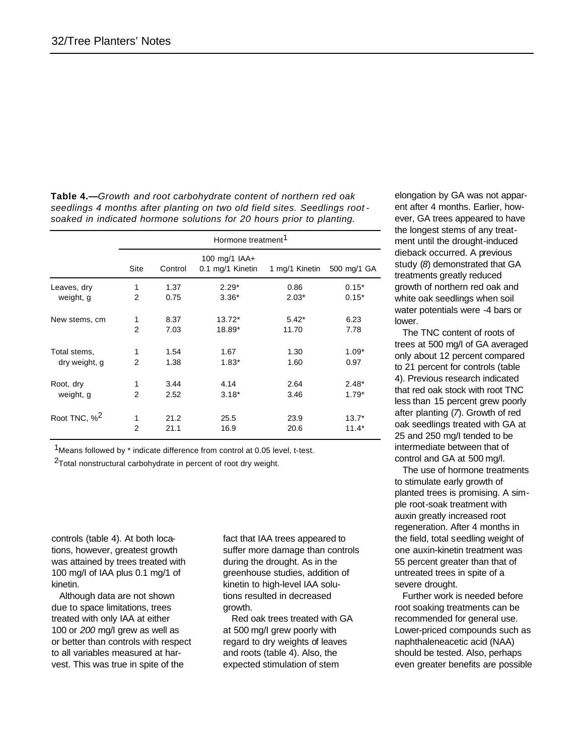**Table 4.—***Growth and root carbohydrate content of northern red oak seedlings 4 months after planting on two old field sites. Seedlings root soaked in indicated hormone solutions for 20 hours prior to planting.*

|                          | Hormone treatment <sup>1</sup> |         |                                   |                |             |  |
|--------------------------|--------------------------------|---------|-----------------------------------|----------------|-------------|--|
|                          | Site                           | Control | 100 mg/1 IAA+<br>0.1 mg/1 Kinetin | 1 mg/1 Kinetin | 500 mg/1 GA |  |
| Leaves, dry              | 1                              | 1.37    | $2.29*$                           | 0.86           | $0.15*$     |  |
| weight, g                | $\overline{2}$                 | 0.75    | $3.36*$                           | $2.03*$        | $0.15*$     |  |
| New stems, cm            | 1                              | 8.37    | 13.72*                            | $5.42*$        | 6.23        |  |
|                          | $\overline{2}$                 | 7.03    | 18.89*                            | 11.70          | 7.78        |  |
| Total stems,             | 1                              | 1.54    | 1.67                              | 1.30           | $1.09*$     |  |
| dry weight, g            | $\overline{2}$                 | 1.38    | $1.83*$                           | 1.60           | 0.97        |  |
| Root, dry                | 1                              | 3.44    | 4.14                              | 2.64           | $2.48*$     |  |
| weight, g                | $\overline{2}$                 | 2.52    | $3.18*$                           | 3.46           | $1.79*$     |  |
| Root TNC, % <sup>2</sup> | 1                              | 21.2    | 25.5                              | 23.9           | $13.7*$     |  |
|                          | $\overline{2}$                 | 21.1    | 16.9                              | 20.6           | $11.4*$     |  |

<sup>1</sup>Means followed by \* indicate difference from control at 0.05 level, t-test.

2Total nonstructural carbohydrate in percent of root dry weight.

controls (table 4). At both locations, however, greatest growth was attained by trees treated with 100 mg/I of IAA plus 0.1 mg/1 of kinetin.

Although data are not shown due to space limitations, trees treated with only IAA at either 100 or *200* mg/I grew as well as or better than controls with respect to all variables measured at harvest. This was true in spite of the

fact that IAA trees appeared to suffer more damage than controls during the drought. As in the greenhouse studies, addition of kinetin to high-level IAA solutions resulted in decreased growth.

Red oak trees treated with GA at 500 mg/I grew poorly with regard to dry weights of leaves and roots (table 4). Also, the expected stimulation of stem

elongation by GA was not apparent after 4 months. Earlier, however, GA trees appeared to have the longest stems of any treatment until the drought-induced dieback occurred. A previous study (*8*) demonstrated that GA treatments greatly reduced growth of northern red oak and white oak seedlings when soil water potentials were -4 bars or lower.

The TNC content of roots of trees at 500 mg/I of GA averaged only about 12 percent compared to 21 percent for controls (table 4). Previous research indicated that red oak stock with root TNC less than 15 percent grew poorly after planting (*7*). Growth of red oak seedlings treated with GA at 25 and 250 mg/I tended to be intermediate between that of control and GA at 500 mg/l.

The use of hormone treatments to stimulate early growth of planted trees is promising. A simple root-soak treatment with auxin greatly increased root regeneration. After 4 months in the field, total seedling weight of one auxin-kinetin treatment was 55 percent greater than that of untreated trees in spite of a severe drought.

Further work is needed before root soaking treatments can be recommended for general use. Lower-priced compounds such as naphthaleneacetic acid (NAA) should be tested. Also, perhaps even greater benefits are possible